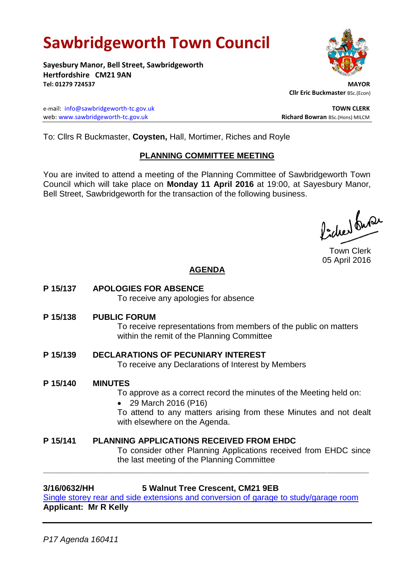# **Sawbridgeworth Town Council**

**Sayesbury Manor, Bell Street, Sawbridgeworth Hertfordshire CM21 9AN Tel: 01279 724537 MAYOR**

e-mail: [info@sawbridgeworth-tc.gov.uk](mailto:info@sawbridgeworth-tc.gov.uk) **TOWN CLERK** web: www.sawbridgeworth-tc.gov.uk<br>
Richard Bowran BSc.(Hons) MILCM

 **Cllr Eric Buckmaster** BSc.(Econ)

To: Cllrs R Buckmaster, **Coysten,** Hall, Mortimer, Riches and Royle

### **PLANNING COMMITTEE MEETING**

You are invited to attend a meeting of the Planning Committee of Sawbridgeworth Town Council which will take place on **Monday 11 April 2016** at 19:00, at Sayesbury Manor, Bell Street, Sawbridgeworth for the transaction of the following business.

ladres buse

Town Clerk 05 April 2016

# **AGENDA**

**P 15/137 APOLOGIES FOR ABSENCE**

To receive any apologies for absence

**P 15/138 PUBLIC FORUM**

To receive representations from members of the public on matters within the remit of the Planning Committee

# **P 15/139 DECLARATIONS OF PECUNIARY INTEREST**

To receive any Declarations of Interest by Members

### **P 15/140 MINUTES**

To approve as a correct record the minutes of the Meeting held on:

• 29 March 2016 (P16)

To attend to any matters arising from these Minutes and not dealt with elsewhere on the Agenda.

# **P 15/141 PLANNING APPLICATIONS RECEIVED FROM EHDC**

To consider other Planning Applications received from EHDC since the last meeting of the Planning Committee

**3/16/0632/HH 5 Walnut Tree Crescent, CM21 9EB**

**\_\_\_\_\_\_\_\_\_\_\_\_\_\_\_\_\_\_\_\_\_\_\_\_\_\_\_\_\_\_\_\_\_\_\_\_\_\_\_\_\_\_\_\_\_\_\_\_\_\_\_\_\_\_\_\_\_\_\_\_\_\_\_\_\_\_\_\_\_\_\_**

[Single storey rear and side extensions and conversion of garage](https://publicaccess.eastherts.gov.uk/online-applications/applicationDetails.do?activeTab=summary&keyVal=O46HEBGL00X00) to study/garage room **Applicant: Mr R Kelly**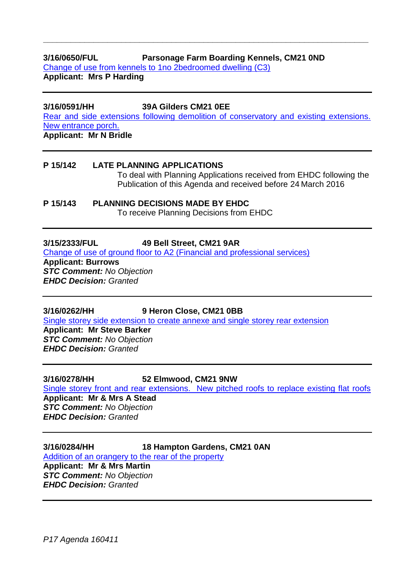# **3/16/0650/FUL Parsonage Farm Boarding Kennels, CM21 0ND**  [Change of use from kennels to 1no 2bedroomed dwelling \(C3\)](https://publicaccess.eastherts.gov.uk/online-applications/applicationDetails.do?activeTab=summary&keyVal=O48SJYGLJ4X00&prevPage=inTray)

**Applicant: Mrs P Harding**

**3/16/0591/HH 39A Gilders CM21 0EE**  [Rear and side extensions following demolition of conservatory and existing extensions.](https://publicaccess.eastherts.gov.uk/online-applications/applicationDetails.do?activeTab=summary&keyVal=O3VTX2GLJ1300&prevPage=inTray)  [New entrance porch.](https://publicaccess.eastherts.gov.uk/online-applications/applicationDetails.do?activeTab=summary&keyVal=O3VTX2GLJ1300&prevPage=inTray)  **Applicant: Mr N Bridle**

**\_\_\_\_\_\_\_\_\_\_\_\_\_\_\_\_\_\_\_\_\_\_\_\_\_\_\_\_\_\_\_\_\_\_\_\_\_\_\_\_\_\_\_\_\_\_\_\_\_\_\_\_\_\_\_\_\_\_\_\_\_\_\_\_\_\_\_\_\_\_\_**

# **P 15/142 LATE PLANNING APPLICATIONS** To deal with Planning Applications received from EHDC following the Publication of this Agenda and received before 24 March 2016

**P 15/143 PLANNING DECISIONS MADE BY EHDC** To receive Planning Decisions from EHDC

### **3/15/2333/FUL 49 Bell Street, CM21 9AR**

[Change of use of ground floor to A2 \(Financial and professional services\)](https://publicaccess.eastherts.gov.uk/online-applications/applicationDetails.do?activeTab=summary&keyVal=NY9Z4VGLHP800)

**Applicant: Burrows** *STC Comment: No Objection EHDC Decision: Granted*

# **3/16/0262/HH 9 Heron Close, CM21 0BB**

[Single storey side extension to create annexe and single storey rear extension](https://publicaccess.eastherts.gov.uk/online-applications/applicationDetails.do?activeTab=documents&keyVal=O215VJGLIJK00)

**Applicant: Mr Steve Barker** *STC Comment: No Objection EHDC Decision: Granted*

### **3/16/0278/HH 52 Elmwood, CM21 9NW**

[Single storey front and rear extensions. New pitched roofs to replace existing flat roofs](https://publicaccess.eastherts.gov.uk/online-applications/applicationDetails.do?activeTab=summary&keyVal=O230JNGLIKD00) **Applicant: Mr & Mrs A Stead**

*STC Comment: No Objection EHDC Decision: Granted*

### **3/16/0284/HH 18 Hampton Gardens, CM21 0AN**

[Addition of an orangery to the rear of the property](https://publicaccess.eastherts.gov.uk/online-applications/applicationDetails.do?activeTab=summary&keyVal=O248Y4GLIKM00)

**Applicant: Mr & Mrs Martin** *STC Comment: No Objection EHDC Decision: Granted*